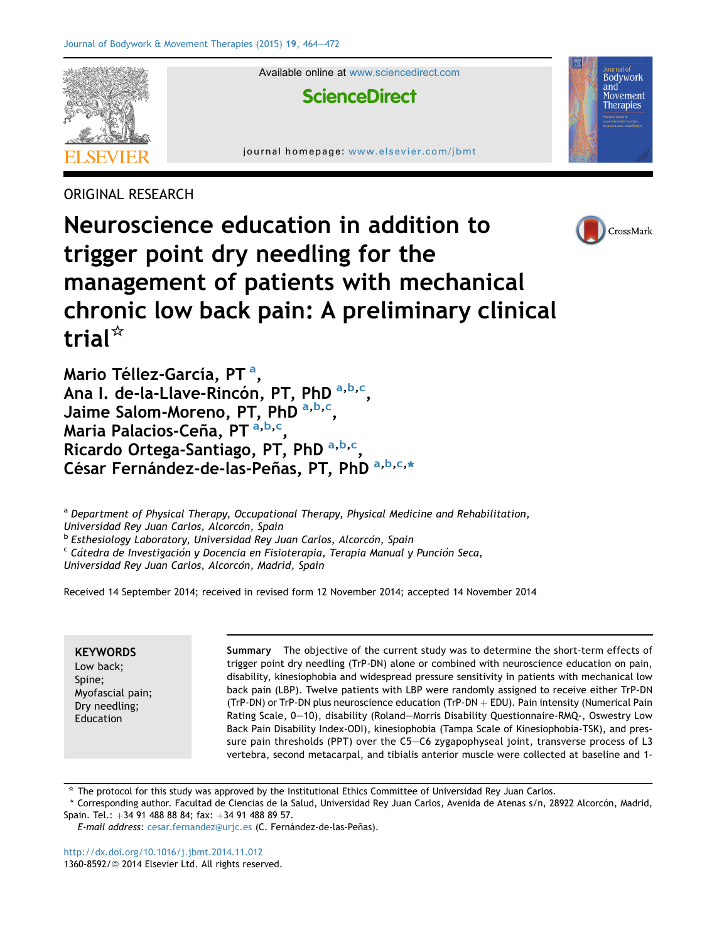

ORIGINAL RESEARCH



Neuroscience education in addition to trigger point dry needling for the management of patients with mechanical chronic low back pain: A preliminary clinical trial $^{\star}$ 

Mario Téllez-García, PT <sup>a</sup>, Ana I. de-la-Llave-Rincón, PT, PhD <sup>a,b,c</sup>, Jaime Salom-Moreno, PT, PhD <sup>a,b,c</sup>, Maria Palacios-Ceña, PT <sup>a,b,c</sup>, Ricardo Ortega-Santiago, PT, PhD <sup>a,b,c</sup>, César Fernández-de-las-Peñas, PT, PhD a, b, c, \*

a Department of Physical Therapy, Occupational Therapy, Physical Medicine and Rehabilitation, Universidad Rey Juan Carlos, Alcorcón, Spain<br><sup>b</sup> Esthesiology Laboratory, Universidad Rey Juan Carlos, Alcorcón, Spain<br><sup>c</sup> Cátedra de Investigación y Docencia en Fisioterapia, Terapia Manual y Punción Seca,

Universidad Rey Juan Carlos, Alcorcón, Madrid, Spain

Received 14 September 2014; received in revised form 12 November 2014; accepted 14 November 2014

**KEYWORDS** Low back; Spine; Myofascial pain; Dry needling; Education

Summary The objective of the current study was to determine the short-term effects of trigger point dry needling (TrP-DN) alone or combined with neuroscience education on pain, disability, kinesiophobia and widespread pressure sensitivity in patients with mechanical low back pain (LBP). Twelve patients with LBP were randomly assigned to receive either TrP-DN (TrP-DN) or TrP-DN plus neuroscience education (TrP-DN  $+$  EDU). Pain intensity (Numerical Pain Rating Scale, 0-10), disability (Roland-Morris Disability Questionnaire-RMQ-, Oswestry Low Back Pain Disability Index-ODI), kinesiophobia (Tampa Scale of Kinesiophobia-TSK), and pressure pain thresholds (PPT) over the C5-C6 zygapophyseal joint, transverse process of L3 vertebra, second metacarpal, and tibialis anterior muscle were collected at baseline and 1-

 $*$  The protocol for this study was approved by the Institutional Ethics Committee of Universidad Rey Juan Carlos.

\* Corresponding author. Facultad de Ciencias de la Salud, Universidad Rey Juan Carlos, Avenida de Atenas s/n, 28922 Alcorcón, Madrid, Spain. Tel.:  $+34$  91 488 88 84; fax:  $+34$  91 488 89 57.

E-mail address: [cesar.fernandez@urjc.es](mailto:cesar.fernandez@urjc.es) (C. Fernández-de-las-Peñas).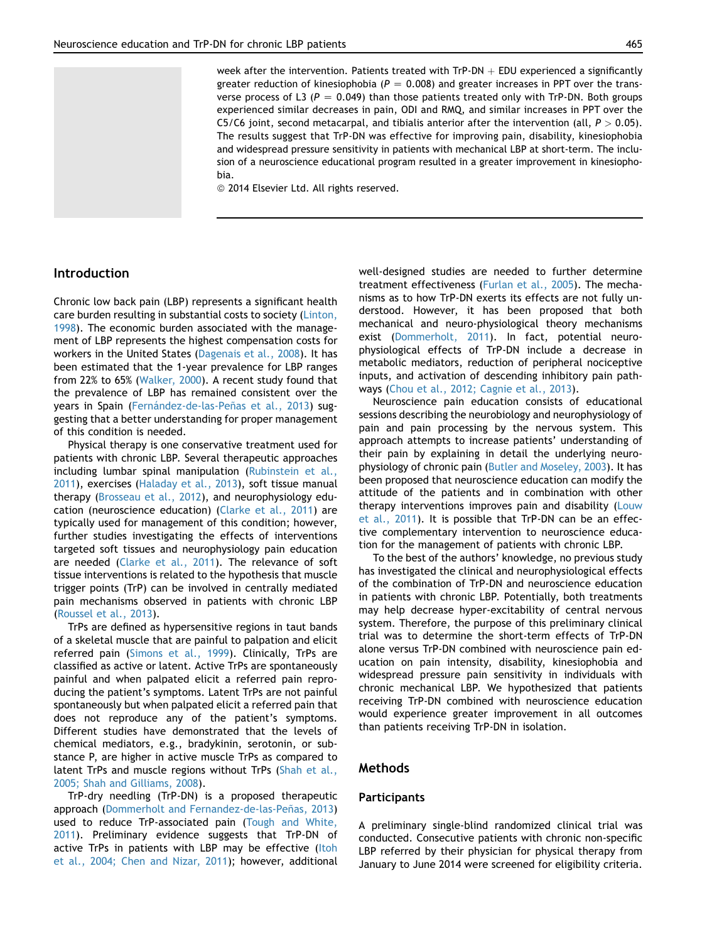week after the intervention. Patients treated with TrP-DN  $+$  EDU experienced a significantly greater reduction of kinesiophobia ( $P = 0.008$ ) and greater increases in PPT over the transverse process of L3 ( $P = 0.049$ ) than those patients treated only with TrP-DN. Both groups experienced similar decreases in pain, ODI and RMQ, and similar increases in PPT over the C5/C6 joint, second metacarpal, and tibialis anterior after the intervention (all,  $P > 0.05$ ). The results suggest that TrP-DN was effective for improving pain, disability, kinesiophobia and widespread pressure sensitivity in patients with mechanical LBP at short-term. The inclusion of a neuroscience educational program resulted in a greater improvement in kinesiophobia.

<sup>©</sup> 2014 Elsevier Ltd. All rights reserved.

## Introduction

Chronic low back pain (LBP) represents a significant health care burden resulting in substantial costs to society ([Linton,](#page-7-0) [1998](#page-7-0)). The economic burden associated with the management of LBP represents the highest compensation costs for workers in the United States [\(Dagenais et al., 2008\)](#page-7-0). It has been estimated that the 1-year prevalence for LBP ranges from 22% to 65% ([Walker, 2000\)](#page-8-0). A recent study found that the prevalence of LBP has remained consistent over the years in Spain (Fernández-de-las-Peñas et al., 2013) suggesting that a better understanding for proper management of this condition is needed.

Physical therapy is one conservative treatment used for patients with chronic LBP. Several therapeutic approaches including lumbar spinal manipulation ([Rubinstein et al.,](#page-8-0) [2011](#page-8-0)), exercises [\(Haladay et al., 2013](#page-7-0)), soft tissue manual therapy [\(Brosseau et al., 2012\)](#page-7-0), and neurophysiology education (neuroscience education) [\(Clarke et al., 2011](#page-7-0)) are typically used for management of this condition; however, further studies investigating the effects of interventions targeted soft tissues and neurophysiology pain education are needed ([Clarke et al., 2011](#page-7-0)). The relevance of soft tissue interventions is related to the hypothesis that muscle trigger points (TrP) can be involved in centrally mediated pain mechanisms observed in patients with chronic LBP ([Roussel et al., 2013](#page-8-0)).

TrPs are defined as hypersensitive regions in taut bands of a skeletal muscle that are painful to palpation and elicit referred pain [\(Simons et al., 1999](#page-8-0)). Clinically, TrPs are classified as active or latent. Active TrPs are spontaneously painful and when palpated elicit a referred pain reproducing the patient's symptoms. Latent TrPs are not painful spontaneously but when palpated elicit a referred pain that does not reproduce any of the patient's symptoms. Different studies have demonstrated that the levels of chemical mediators, e.g., bradykinin, serotonin, or substance P, are higher in active muscle TrPs as compared to latent TrPs and muscle regions without TrPs ([Shah et al.,](#page-8-0) [2005; Shah and Gilliams, 2008](#page-8-0)).

TrP-dry needling (TrP-DN) is a proposed therapeutic approach (Dommerholt and Fernandez-de-las-Peñas, 2013) used to reduce TrP-associated pain ([Tough and White,](#page-8-0) [2011](#page-8-0)). Preliminary evidence suggests that TrP-DN of active TrPs in patients with LBP may be effective ([Itoh](#page-7-0) [et al., 2004; Chen and Nizar, 2011\)](#page-7-0); however, additional well-designed studies are needed to further determine treatment effectiveness [\(Furlan et al., 2005](#page-7-0)). The mechanisms as to how TrP-DN exerts its effects are not fully understood. However, it has been proposed that both mechanical and neuro-physiological theory mechanisms exist ([Dommerholt, 2011\)](#page-7-0). In fact, potential neurophysiological effects of TrP-DN include a decrease in metabolic mediators, reduction of peripheral nociceptive inputs, and activation of descending inhibitory pain pathways [\(Chou et al., 2012; Cagnie et al., 2013\)](#page-7-0).

Neuroscience pain education consists of educational sessions describing the neurobiology and neurophysiology of pain and pain processing by the nervous system. This approach attempts to increase patients' understanding of their pain by explaining in detail the underlying neurophysiology of chronic pain ([Butler and Moseley, 2003](#page-7-0)). It has been proposed that neuroscience education can modify the attitude of the patients and in combination with other therapy interventions improves pain and disability [\(Louw](#page-7-0) [et al., 2011](#page-7-0)). It is possible that TrP-DN can be an effective complementary intervention to neuroscience education for the management of patients with chronic LBP.

To the best of the authors' knowledge, no previous study has investigated the clinical and neurophysiological effects of the combination of TrP-DN and neuroscience education in patients with chronic LBP. Potentially, both treatments may help decrease hyper-excitability of central nervous system. Therefore, the purpose of this preliminary clinical trial was to determine the short-term effects of TrP-DN alone versus TrP-DN combined with neuroscience pain education on pain intensity, disability, kinesiophobia and widespread pressure pain sensitivity in individuals with chronic mechanical LBP. We hypothesized that patients receiving TrP-DN combined with neuroscience education would experience greater improvement in all outcomes than patients receiving TrP-DN in isolation.

## Methods

### **Participants**

A preliminary single-blind randomized clinical trial was conducted. Consecutive patients with chronic non-specific LBP referred by their physician for physical therapy from January to June 2014 were screened for eligibility criteria.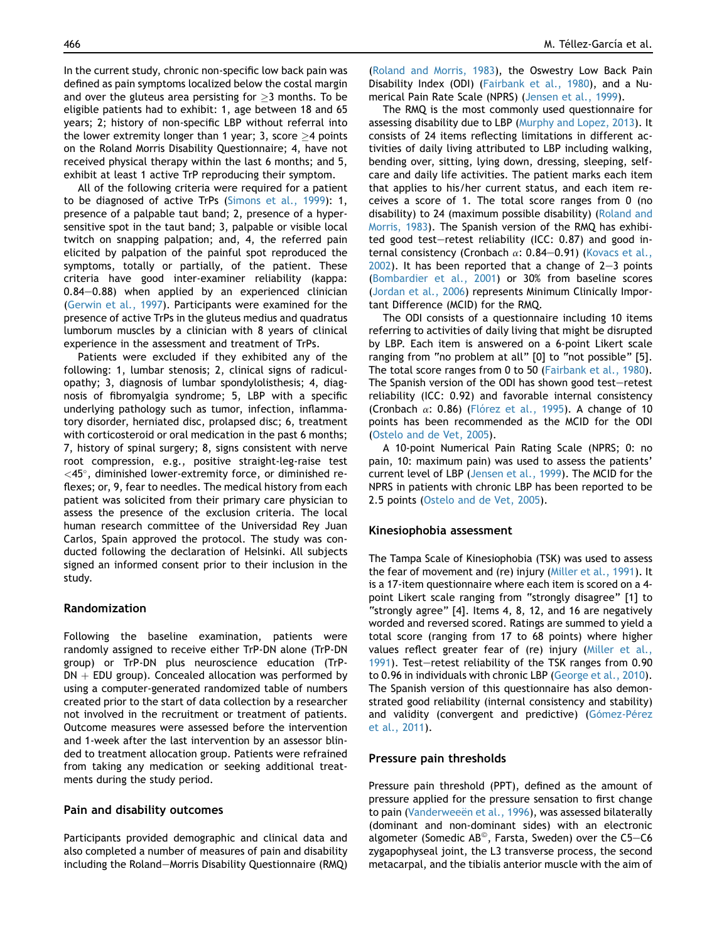In the current study, chronic non-specific low back pain was defined as pain symptoms localized below the costal margin and over the gluteus area persisting for  $\geq$ 3 months. To be eligible patients had to exhibit: 1, age between 18 and 65 years; 2; history of non-specific LBP without referral into the lower extremity longer than 1 year; 3, score  $\geq$ 4 points on the Roland Morris Disability Questionnaire; 4, have not received physical therapy within the last 6 months; and 5, exhibit at least 1 active TrP reproducing their symptom.

All of the following criteria were required for a patient to be diagnosed of active TrPs ([Simons et al., 1999\)](#page-8-0): 1, presence of a palpable taut band; 2, presence of a hypersensitive spot in the taut band; 3, palpable or visible local twitch on snapping palpation; and, 4, the referred pain elicited by palpation of the painful spot reproduced the symptoms, totally or partially, of the patient. These criteria have good inter-examiner reliability (kappa:  $0.84-0.88$ ) when applied by an experienced clinician [\(Gerwin et al., 1997\)](#page-7-0). Participants were examined for the presence of active TrPs in the gluteus medius and quadratus lumborum muscles by a clinician with 8 years of clinical experience in the assessment and treatment of TrPs.

Patients were excluded if they exhibited any of the following: 1, lumbar stenosis; 2, clinical signs of radiculopathy; 3, diagnosis of lumbar spondylolisthesis; 4, diagnosis of fibromyalgia syndrome; 5, LBP with a specific underlying pathology such as tumor, infection, inflammatory disorder, herniated disc, prolapsed disc; 6, treatment with corticosteroid or oral medication in the past 6 months; 7, history of spinal surgery; 8, signs consistent with nerve root compression, e.g., positive straight-leg-raise test  $<$ 45 $^{\circ}$ , diminished lower-extremity force, or diminished reflexes; or, 9, fear to needles. The medical history from each patient was solicited from their primary care physician to assess the presence of the exclusion criteria. The local human research committee of the Universidad Rey Juan Carlos, Spain approved the protocol. The study was conducted following the declaration of Helsinki. All subjects signed an informed consent prior to their inclusion in the study.

## Randomization

Following the baseline examination, patients were randomly assigned to receive either TrP-DN alone (TrP-DN group) or TrP-DN plus neuroscience education (TrP- $DN + EDU$  group). Concealed allocation was performed by using a computer-generated randomized table of numbers created prior to the start of data collection by a researcher not involved in the recruitment or treatment of patients. Outcome measures were assessed before the intervention and 1-week after the last intervention by an assessor blinded to treatment allocation group. Patients were refrained from taking any medication or seeking additional treatments during the study period.

## Pain and disability outcomes

Participants provided demographic and clinical data and also completed a number of measures of pain and disability including the Roland-Morris Disability Questionnaire (RMQ)

[\(Roland and Morris, 1983\)](#page-8-0), the Oswestry Low Back Pain Disability Index (ODI) [\(Fairbank et al., 1980\)](#page-7-0), and a Numerical Pain Rate Scale (NPRS) ([Jensen et al., 1999\)](#page-7-0).

The RMQ is the most commonly used questionnaire for assessing disability due to LBP ([Murphy and Lopez, 2013\)](#page-8-0). It consists of 24 items reflecting limitations in different activities of daily living attributed to LBP including walking, bending over, sitting, lying down, dressing, sleeping, selfcare and daily life activities. The patient marks each item that applies to his/her current status, and each item receives a score of 1. The total score ranges from 0 (no disability) to 24 (maximum possible disability) ([Roland and](#page-8-0) [Morris, 1983\)](#page-8-0). The Spanish version of the RMQ has exhibited good test-retest reliability (ICC:  $0.87$ ) and good internal consistency (Cronbach  $\alpha$ : 0.84-0.91) [\(Kovacs et al.,](#page-7-0)  $2002$ ). It has been reported that a change of 2-3 points [\(Bombardier et al., 2001](#page-7-0)) or 30% from baseline scores [\(Jordan et al., 2006\)](#page-7-0) represents Minimum Clinically Important Difference (MCID) for the RMQ.

The ODI consists of a questionnaire including 10 items referring to activities of daily living that might be disrupted by LBP. Each item is answered on a 6-point Likert scale ranging from "no problem at all" [0] to "not possible" [5]. The total score ranges from 0 to 50 [\(Fairbank et al., 1980](#page-7-0)). The Spanish version of the ODI has shown good test-retest reliability (ICC: 0.92) and favorable internal consistency (Cronbach  $\alpha$ : 0.86) (Flórez et al., 1995). A change of 10 points has been recommended as the MCID for the ODI [\(Ostelo and de Vet, 2005](#page-8-0)).

A 10-point Numerical Pain Rating Scale (NPRS; 0: no pain, 10: maximum pain) was used to assess the patients' current level of LBP ([Jensen et al., 1999](#page-7-0)). The MCID for the NPRS in patients with chronic LBP has been reported to be 2.5 points [\(Ostelo and de Vet, 2005](#page-8-0)).

#### Kinesiophobia assessment

The Tampa Scale of Kinesiophobia (TSK) was used to assess the fear of movement and (re) injury [\(Miller et al., 1991](#page-8-0)). It is a 17-item questionnaire where each item is scored on a 4 point Likert scale ranging from "strongly disagree" [1] to "strongly agree" [4]. Items 4, 8, 12, and 16 are negatively worded and reversed scored. Ratings are summed to yield a total score (ranging from 17 to 68 points) where higher values reflect greater fear of (re) injury ([Miller et al.,](#page-8-0) [1991](#page-8-0)). Test-retest reliability of the TSK ranges from 0.90 to 0.96 in individuals with chronic LBP [\(George et al., 2010](#page-7-0)). The Spanish version of this questionnaire has also demonstrated good reliability (internal consistency and stability) and validity (convergent and predictive) (Gómez-Pérez [et al., 2011\)](#page-7-0).

#### Pressure pain thresholds

Pressure pain threshold (PPT), defined as the amount of pressure applied for the pressure sensation to first change to pain (Vanderweeën et al., 1996), was assessed bilaterally (dominant and non-dominant sides) with an electronic algometer (Somedic AB<sup>®</sup>, Farsta, Sweden) over the C5–C6 zygapophyseal joint, the L3 transverse process, the second metacarpal, and the tibialis anterior muscle with the aim of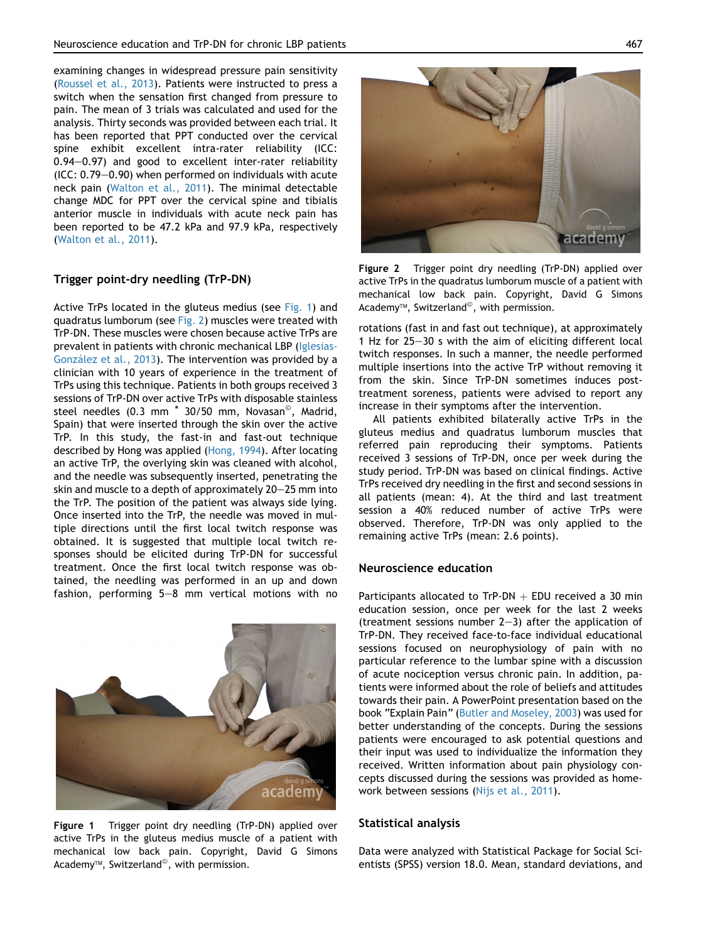examining changes in widespread pressure pain sensitivity ([Roussel et al., 2013\)](#page-8-0). Patients were instructed to press a switch when the sensation first changed from pressure to pain. The mean of 3 trials was calculated and used for the analysis. Thirty seconds was provided between each trial. It has been reported that PPT conducted over the cervical spine exhibit excellent intra-rater reliability (ICC:  $0.94-0.97$ ) and good to excellent inter-rater reliability  $(ICC: 0.79-0.90)$  when performed on individuals with acute neck pain ([Walton et al., 2011](#page-8-0)). The minimal detectable change MDC for PPT over the cervical spine and tibialis anterior muscle in individuals with acute neck pain has been reported to be 47.2 kPa and 97.9 kPa, respectively ([Walton et al., 2011\)](#page-8-0).

## Trigger point-dry needling (TrP-DN)

Active TrPs located in the gluteus medius (see Fig. 1) and quadratus lumborum (see Fig. 2) muscles were treated with TrP-DN. These muscles were chosen because active TrPs are prevalent in patients with chronic mechanical LBP [\(Iglesias-](#page-7-0)González et al., 2013). The intervention was provided by a clinician with 10 years of experience in the treatment of TrPs using this technique. Patients in both groups received 3 sessions of TrP-DN over active TrPs with disposable stainless steel needles (0.3 mm<sup>\*</sup> 30/50 mm, Novasan<sup>®</sup>, Madrid, Spain) that were inserted through the skin over the active TrP. In this study, the fast-in and fast-out technique described by Hong was applied [\(Hong, 1994\)](#page-7-0). After locating an active TrP, the overlying skin was cleaned with alcohol, and the needle was subsequently inserted, penetrating the skin and muscle to a depth of approximately  $20-25$  mm into the TrP. The position of the patient was always side lying. Once inserted into the TrP, the needle was moved in multiple directions until the first local twitch response was obtained. It is suggested that multiple local twitch responses should be elicited during TrP-DN for successful treatment. Once the first local twitch response was obtained, the needling was performed in an up and down fashion, performing  $5-8$  mm vertical motions with no



Figure 1 Trigger point dry needling (TrP-DN) applied over active TrPs in the gluteus medius muscle of a patient with mechanical low back pain. Copyright, David G Simons Academy $\mathbb{M}$ , Switzerland $\mathbb{O}$ , with permission.



Figure 2 Trigger point dry needling (TrP-DN) applied over active TrPs in the quadratus lumborum muscle of a patient with mechanical low back pain. Copyright, David G Simons Academy<sup>™</sup>, Switzerland<sup>©</sup>, with permission.

rotations (fast in and fast out technique), at approximately 1 Hz for  $25-30$  s with the aim of eliciting different local twitch responses. In such a manner, the needle performed multiple insertions into the active TrP without removing it from the skin. Since TrP-DN sometimes induces posttreatment soreness, patients were advised to report any increase in their symptoms after the intervention.

All patients exhibited bilaterally active TrPs in the gluteus medius and quadratus lumborum muscles that referred pain reproducing their symptoms. Patients received 3 sessions of TrP-DN, once per week during the study period. TrP-DN was based on clinical findings. Active TrPs received dry needling in the first and second sessions in all patients (mean: 4). At the third and last treatment session a 40% reduced number of active TrPs were observed. Therefore, TrP-DN was only applied to the remaining active TrPs (mean: 2.6 points).

### Neuroscience education

Participants allocated to TrP-DN  $+$  EDU received a 30 min education session, once per week for the last 2 weeks (treatment sessions number  $2-3$ ) after the application of TrP-DN. They received face-to-face individual educational sessions focused on neurophysiology of pain with no particular reference to the lumbar spine with a discussion of acute nociception versus chronic pain. In addition, patients were informed about the role of beliefs and attitudes towards their pain. A PowerPoint presentation based on the book "Explain Pain" [\(Butler and Moseley, 2003](#page-7-0)) was used for better understanding of the concepts. During the sessions patients were encouraged to ask potential questions and their input was used to individualize the information they received. Written information about pain physiology concepts discussed during the sessions was provided as homework between sessions [\(Nijs et al., 2011](#page-8-0)).

### Statistical analysis

Data were analyzed with Statistical Package for Social Scientists (SPSS) version 18.0. Mean, standard deviations, and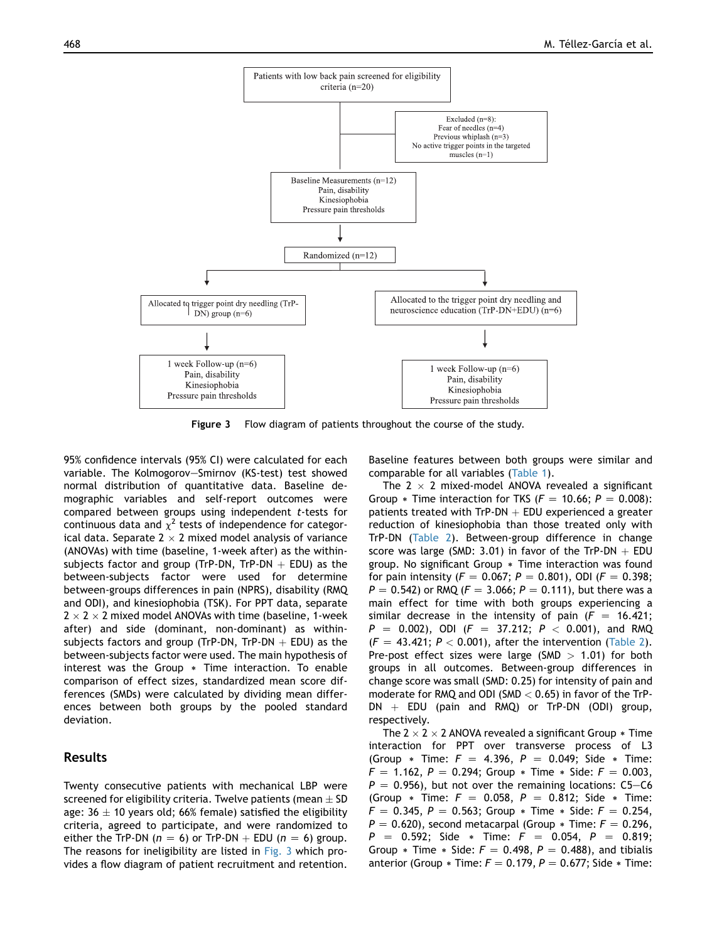

Figure 3 Flow diagram of patients throughout the course of the study.

95% confidence intervals (95% CI) were calculated for each variable. The Kolmogorov-Smirnov (KS-test) test showed normal distribution of quantitative data. Baseline demographic variables and self-report outcomes were compared between groups using independent t-tests for continuous data and  $\chi^2$  tests of independence for categorical data. Separate  $2 \times 2$  mixed model analysis of variance (ANOVAs) with time (baseline, 1-week after) as the withinsubjects factor and group (TrP-DN, TrP-DN  $+$  EDU) as the between-subjects factor were used for determine between-groups differences in pain (NPRS), disability (RMQ and ODI), and kinesiophobia (TSK). For PPT data, separate  $2 \times 2 \times 2$  mixed model ANOVAs with time (baseline, 1-week after) and side (dominant, non-dominant) as withinsubjects factors and group (TrP-DN, TrP-DN  $+$  EDU) as the between-subjects factor were used. The main hypothesis of interest was the Group  $*$  Time interaction. To enable comparison of effect sizes, standardized mean score differences (SMDs) were calculated by dividing mean differences between both groups by the pooled standard deviation.

# Results

Twenty consecutive patients with mechanical LBP were screened for eligibility criteria. Twelve patients (mean  $\pm$  SD age:  $36 \pm 10$  years old; 66% female) satisfied the eligibility criteria, agreed to participate, and were randomized to either the TrP-DN ( $n = 6$ ) or TrP-DN  $+$  EDU ( $n = 6$ ) group. The reasons for ineligibility are listed in Fig. 3 which provides a flow diagram of patient recruitment and retention.

Baseline features between both groups were similar and comparable for all variables [\(Table 1](#page-5-0)).

The 2  $\times$  2 mixed-model ANOVA revealed a significant Group  $*$  Time interaction for TKS ( $F = 10.66$ ;  $P = 0.008$ ): patients treated with  $TrP-DN + EDU$  experienced a greater reduction of kinesiophobia than those treated only with TrP-DN ([Table 2](#page-5-0)). Between-group difference in change score was large (SMD: 3.01) in favor of the TrP-DN  $+$  EDU group. No significant Group  $*$  Time interaction was found for pain intensity ( $F = 0.067$ ;  $P = 0.801$ ), ODI ( $F = 0.398$ ;  $P = 0.542$ ) or RMQ ( $F = 3.066$ ;  $P = 0.111$ ), but there was a main effect for time with both groups experiencing a similar decrease in the intensity of pain  $(F = 16.421;$  $P = 0.002$ ), ODI ( $F = 37.212$ ;  $P < 0.001$ ), and RMQ  $(F = 43.421; P < 0.001)$ , after the intervention [\(Table 2](#page-5-0)). Pre-post effect sizes were large (SMD  $> 1.01$ ) for both groups in all outcomes. Between-group differences in change score was small (SMD: 0.25) for intensity of pain and moderate for RMQ and ODI (SMD  $<$  0.65) in favor of the TrP- $DN + EDU$  (pain and RMQ) or TrP-DN (ODI) group, respectively.

The 2  $\times$  2  $\times$  2 ANOVA revealed a significant Group  $*$  Time interaction for PPT over transverse process of L3 (Group  $*$  Time:  $F = 4.396$ ,  $P = 0.049$ ; Side  $*$  Time:  $F = 1.162$ ,  $P = 0.294$ ; Group  $*$  Time  $*$  Side:  $F = 0.003$ ,  $P = 0.956$ , but not over the remaining locations: C5-C6 (Group  $*$  Time:  $F = 0.058$ ,  $P = 0.812$ ; Side  $*$  Time:  $F = 0.345, P = 0.563$ ; Group  $*$  Time  $*$  Side:  $F = 0.254$ ,  $P = 0.620$ , second metacarpal (Group  $*$  Time:  $F = 0.296$ ,  $P = 0.592$ ; Side \* Time:  $F = 0.054$ ,  $P = 0.819$ ; Group  $*$  Time  $*$  Side:  $F = 0.498$ ,  $P = 0.488$ ), and tibialis anterior (Group  $*$  Time:  $F = 0.179$ ,  $P = 0.677$ ; Side  $*$  Time: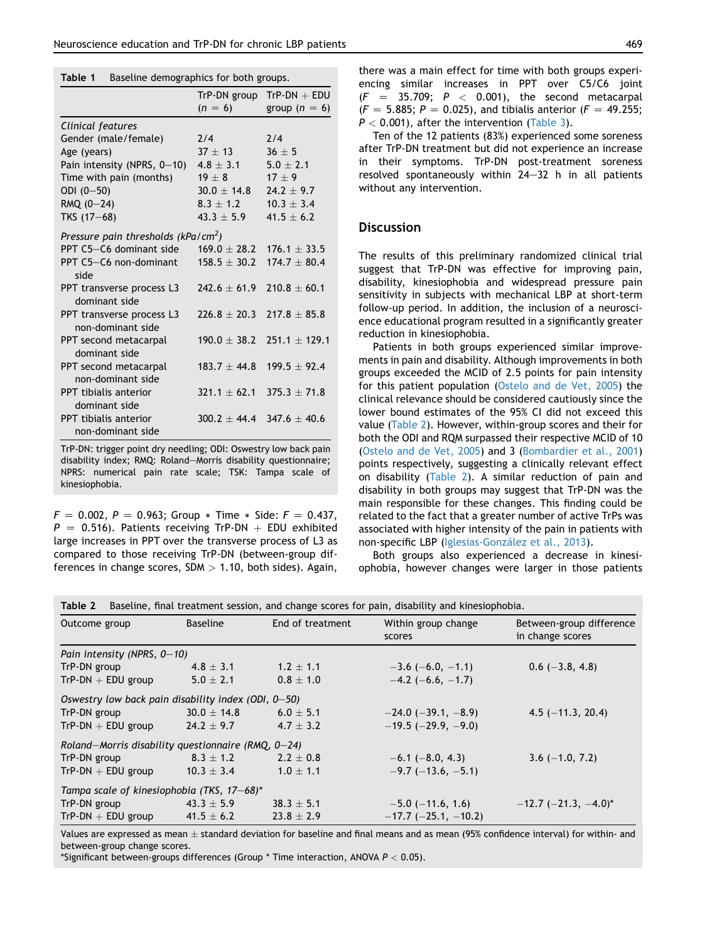### <span id="page-5-0"></span>Table 1 Baseline demographics for both groups.

|                                                 | TrP-DN group     | $TrP\text{-}DN + EDU$ |  |  |  |  |
|-------------------------------------------------|------------------|-----------------------|--|--|--|--|
|                                                 | $(n = 6)$        | group $(n = 6)$       |  |  |  |  |
| Clinical features                               |                  |                       |  |  |  |  |
| Gender (male/female)                            | 7/4              | 7/4                   |  |  |  |  |
| Age (years)                                     | $37 + 13$        | $36 + 5$              |  |  |  |  |
| Pain intensity (NPRS, 0-10)                     | $4.8 + 3.1$      | $5.0 + 2.1$           |  |  |  |  |
| Time with pain (months)                         | $19 + 8$         | $17 + 9$              |  |  |  |  |
| ODI $(0 - 50)$                                  | $30.0 + 14.8$    | $24.2 \pm 9.7$        |  |  |  |  |
| $RMQ$ (0-24)                                    | $8.3 + 1.2$      | $10.3 + 3.4$          |  |  |  |  |
| TKS (17-68)                                     | $43.3 \pm 5.9$   | $41.5 + 6.2$          |  |  |  |  |
| Pressure pain thresholds (kPa/cm <sup>2</sup> ) |                  |                       |  |  |  |  |
| PPT C5-C6 dominant side                         | $169.0 + 28.2$   | $176.1 + 33.5$        |  |  |  |  |
| PPT C5-C6 non-dominant<br>side                  | $158.5 \pm 30.2$ | $174.7 + 80.4$        |  |  |  |  |
| PPT transverse process L3<br>dominant side      | $747.6 + 61.9$   | $210.8 + 60.1$        |  |  |  |  |
| PPT transverse process L3<br>non-dominant side  | $226.8 + 20.3$   | $217.8 + 85.8$        |  |  |  |  |
| PPT second metacarpal<br>dominant side          | $190.0 + 38.2$   | $751.1 + 179.1$       |  |  |  |  |
| PPT second metacarpal<br>non-dominant side      | $183.7 + 44.8$   | $199.5 + 92.4$        |  |  |  |  |
| PPT tibialis anterior<br>dominant side          | $321.1 + 62.1$   | $375.3 + 71.8$        |  |  |  |  |
| PPT tibialis anterior<br>non-dominant side      | $300.2 + 44.4$   | $347.6 + 40.6$        |  |  |  |  |

TrP-DN: trigger point dry needling; ODI: Oswestry low back pain disability index; RMQ: Roland-Morris disability questionnaire; NPRS: numerical pain rate scale; TSK: Tampa scale of kinesiophobia.

 $F = 0.002$ ,  $P = 0.963$ ; Group  $*$  Time  $*$  Side:  $F = 0.437$ ,  $P = 0.516$ ). Patients receiving TrP-DN  $+$  EDU exhibited large increases in PPT over the transverse process of L3 as compared to those receiving TrP-DN (between-group differences in change scores, SDM  $> 1.10$ , both sides). Again, there was a main effect for time with both groups experiencing similar increases in PPT over C5/C6 joint  $(F = 35.709; P < 0.001)$ , the second metacarpal  $(F = 5.885; P = 0.025)$ , and tibialis anterior ( $F = 49.255;$  $P < 0.001$ , after the intervention ([Table 3\)](#page-6-0).

Ten of the 12 patients (83%) experienced some soreness after TrP-DN treatment but did not experience an increase in their symptoms. TrP-DN post-treatment soreness resolved spontaneously within  $24-32$  h in all patients without any intervention.

## **Discussion**

The results of this preliminary randomized clinical trial suggest that TrP-DN was effective for improving pain, disability, kinesiophobia and widespread pressure pain sensitivity in subjects with mechanical LBP at short-term follow-up period. In addition, the inclusion of a neuroscience educational program resulted in a significantly greater reduction in kinesiophobia.

Patients in both groups experienced similar improvements in pain and disability. Although improvements in both groups exceeded the MCID of 2.5 points for pain intensity for this patient population ([Ostelo and de Vet, 2005\)](#page-8-0) the clinical relevance should be considered cautiously since the lower bound estimates of the 95% CI did not exceed this value (Table 2). However, within-group scores and their for both the ODI and RQM surpassed their respective MCID of 10 ([Ostelo and de Vet, 2005\)](#page-8-0) and 3 ([Bombardier et al., 2001](#page-7-0)) points respectively, suggesting a clinically relevant effect on disability (Table 2). A similar reduction of pain and disability in both groups may suggest that TrP-DN was the main responsible for these changes. This finding could be related to the fact that a greater number of active TrPs was associated with higher intensity of the pain in patients with non-specific LBP (Iglesias-González et al., 2013).

Both groups also experienced a decrease in kinesiophobia, however changes were larger in those patients

| Table 2<br>Baseline, final treatment session, and change scores for pain, disability and kinesiophobia. |                 |                  |                               |                                              |  |  |
|---------------------------------------------------------------------------------------------------------|-----------------|------------------|-------------------------------|----------------------------------------------|--|--|
| Outcome group                                                                                           | Baseline        | End of treatment | Within group change<br>scores | Between-group difference<br>in change scores |  |  |
| Pain intensity (NPRS, $0-10$ )                                                                          |                 |                  |                               |                                              |  |  |
| TrP-DN group                                                                                            | $4.8 \pm 3.1$   | $1.2 \pm 1.1$    | $-3.6$ (-6.0, -1.1)           | $0.6$ (-3.8, 4.8)                            |  |  |
| $TrP\text{-}DN + EDU$ group                                                                             | $5.0 \pm 2.1$   | $0.8 \pm 1.0$    | $-4.2$ (-6.6, -1.7)           |                                              |  |  |
| Oswestry low back pain disability index (ODI, $0-50$ )                                                  |                 |                  |                               |                                              |  |  |
| TrP-DN group                                                                                            | $30.0 \pm 14.8$ | $6.0 \pm 5.1$    | $-24.0$ ( $-39.1, -8.9$ )     | $4.5$ (-11.3, 20.4)                          |  |  |
| $TrP\text{-}DN + EDU$ group                                                                             | $24.2 \pm 9.7$  | $4.7 \pm 3.2$    | $-19.5$ ( $-29.9$ , $-9.0$ )  |                                              |  |  |
| Roland–Morris disability questionnaire (RMQ, $0-24$ )                                                   |                 |                  |                               |                                              |  |  |
| TrP-DN group                                                                                            | $8.3 \pm 1.2$   | $2.2 + 0.8$      | $-6.1$ ( $-8.0, 4.3$ )        | $3.6$ (-1.0, 7.2)                            |  |  |
| $TrP\text{-}DN + EDU$ group                                                                             | $10.3 \pm 3.4$  | $1.0 \pm 1.1$    | $-9.7$ ( $-13.6$ , $-5.1$ )   |                                              |  |  |
| Tampa scale of kinesiophobia (TKS, 17-68)*                                                              |                 |                  |                               |                                              |  |  |
| TrP-DN group                                                                                            | $43.3 \pm 5.9$  | $38.3 \pm 5.1$   | $-5.0$ ( $-11.6$ , 1.6)       | $-12.7$ (-21.3, -4.0)*                       |  |  |
| $TrP\text{-}DN + EDU$ group                                                                             | 41.5 $\pm$ 6.2  | $23.8 \pm 2.9$   | $-17.7$ ( $-25.1$ , $-10.2$ ) |                                              |  |  |

Values are expressed as mean  $\pm$  standard deviation for baseline and final means and as mean (95% confidence interval) for within- and between-group change scores.

\*Significant between-groups differences (Group  $*$  Time interaction, ANOVA  $P < 0.05$ ).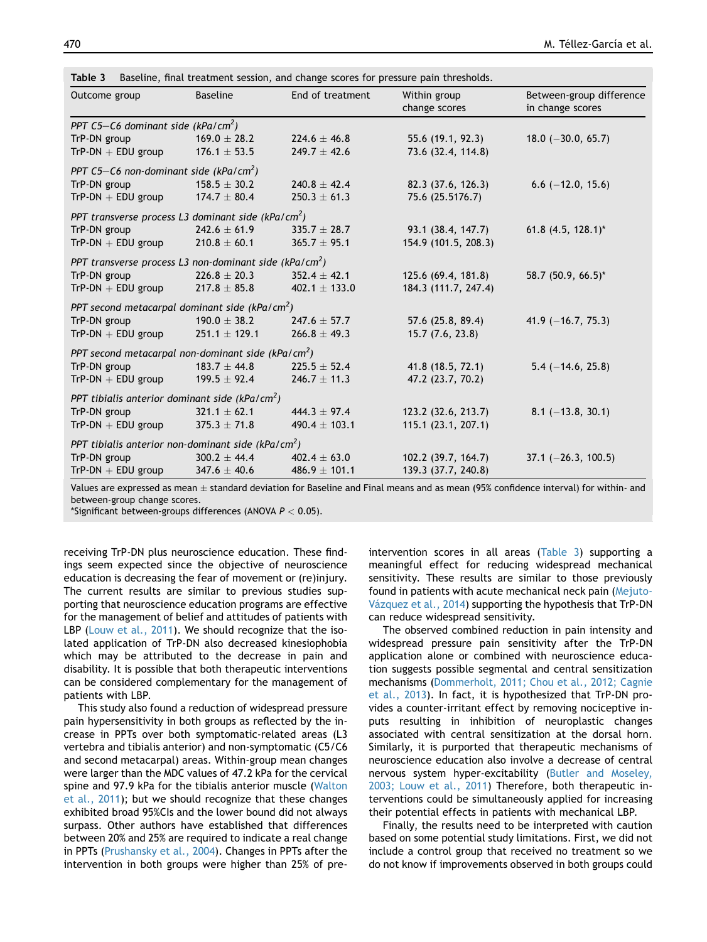| Outcome group                                                      | <b>Baseline</b>   | End of treatment  | Within group<br>change scores | Between-group difference<br>in change scores |
|--------------------------------------------------------------------|-------------------|-------------------|-------------------------------|----------------------------------------------|
| PPT C5-C6 dominant side (kPa/cm <sup>2</sup> )                     |                   |                   |                               |                                              |
| TrP-DN group                                                       | $169.0 \pm 28.2$  | $224.6 \pm 46.8$  | 55.6 (19.1, 92.3)             | $18.0$ (-30.0, 65.7)                         |
| $TrP\text{-}DN + EDU$ group                                        | $176.1 \pm 53.5$  | $249.7 \pm 42.6$  | 73.6 (32.4, 114.8)            |                                              |
| PPT C5-C6 non-dominant side (kPa/cm <sup>2</sup> )                 |                   |                   |                               |                                              |
| TrP-DN group                                                       | $158.5 \pm 30.2$  | $240.8 + 42.4$    | 82.3 (37.6, 126.3)            | $6.6$ (-12.0, 15.6)                          |
| $TrP\text{-}DN + EDU$ group                                        | $174.7 \pm 80.4$  | $250.3 \pm 61.3$  | 75.6 (25.5176.7)              |                                              |
| PPT transverse process L3 dominant side (kPa/cm <sup>2</sup> )     |                   |                   |                               |                                              |
| TrP-DN group                                                       | $242.6 \pm 61.9$  | $335.7 \pm 28.7$  | 93.1 (38.4, 147.7)            | $61.8$ (4.5, 128.1)*                         |
| $TrP\text{-}DN + EDU$ group                                        | $210.8 \pm 60.1$  | $365.7 \pm 95.1$  | 154.9 (101.5, 208.3)          |                                              |
| PPT transverse process L3 non-dominant side (kPa/cm <sup>2</sup> ) |                   |                   |                               |                                              |
| TrP-DN group                                                       | $226.8 \pm 20.3$  | $352.4 \pm 42.1$  | 125.6 (69.4, 181.8)           | 58.7 (50.9, 66.5)*                           |
| $TrP\text{-}DN + EDU$ group                                        | $217.8 \pm 85.8$  | 402.1 $\pm$ 133.0 | 184.3 (111.7, 247.4)          |                                              |
| PPT second metacarpal dominant side (kPa/cm <sup>2</sup> )         |                   |                   |                               |                                              |
| TrP-DN group                                                       | $190.0 \pm 38.2$  | $247.6 \pm 57.7$  | 57.6 (25.8, 89.4)             | 41.9 $(-16.7, 75.3)$                         |
| $TrP\text{-}DN + EDU$ group                                        | $251.1 \pm 129.1$ | $266.8 \pm 49.3$  | 15.7(7.6, 23.8)               |                                              |
| PPT second metacarpal non-dominant side (kPa/cm <sup>2</sup> )     |                   |                   |                               |                                              |
| TrP-DN group                                                       | $183.7 \pm 44.8$  | $225.5 \pm 52.4$  | 41.8 (18.5, 72.1)             | $5.4 (-14.6, 25.8)$                          |
| $TrP\text{-}DN + EDU$ group                                        | $199.5 \pm 92.4$  | $246.7 \pm 11.3$  | 47.2 (23.7, 70.2)             |                                              |
| PPT tibialis anterior dominant side (kPa/cm <sup>2</sup> )         |                   |                   |                               |                                              |
| TrP-DN group                                                       | $321.1 + 62.1$    | $444.3 + 97.4$    | 123.2 (32.6, 213.7)           | $8.1$ (-13.8, 30.1)                          |
| $TrP\text{-}DN + EDU$ group                                        | $375.3 \pm 71.8$  | 490.4 $\pm$ 103.1 | 115.1(23.1, 207.1)            |                                              |
| PPT tibialis anterior non-dominant side (kPa/cm <sup>2</sup> )     |                   |                   |                               |                                              |
| TrP-DN group                                                       | $300.2 \pm 44.4$  | $402.4 \pm 63.0$  | 102.2 (39.7, 164.7)           | $37.1$ (-26.3, 100.5)                        |
| $TrP\text{-}DN + EDU$ group                                        | $347.6 \pm 40.6$  | $486.9 \pm 101.1$ | 139.3 (37.7, 240.8)           |                                              |

<span id="page-6-0"></span>**Table 3** Baseline, final treatment session, and change scores for pressure pain thresholds.

Values are expressed as mean  $\pm$  standard deviation for Baseline and Final means and as mean (95% confidence interval) for within- and between-group change scores.

\*Significant between-groups differences (ANOVA  $P < 0.05$ ).

receiving TrP-DN plus neuroscience education. These findings seem expected since the objective of neuroscience education is decreasing the fear of movement or (re)injury. The current results are similar to previous studies supporting that neuroscience education programs are effective for the management of belief and attitudes of patients with LBP ([Louw et al., 2011](#page-7-0)). We should recognize that the isolated application of TrP-DN also decreased kinesiophobia which may be attributed to the decrease in pain and disability. It is possible that both therapeutic interventions can be considered complementary for the management of patients with LBP.

This study also found a reduction of widespread pressure pain hypersensitivity in both groups as reflected by the increase in PPTs over both symptomatic-related areas (L3 vertebra and tibialis anterior) and non-symptomatic (C5/C6 and second metacarpal) areas. Within-group mean changes were larger than the MDC values of 47.2 kPa for the cervical spine and 97.9 kPa for the tibialis anterior muscle ([Walton](#page-8-0) [et al., 2011\)](#page-8-0); but we should recognize that these changes exhibited broad 95%CIs and the lower bound did not always surpass. Other authors have established that differences between 20% and 25% are required to indicate a real change in PPTs [\(Prushansky et al., 2004](#page-8-0)). Changes in PPTs after the intervention in both groups were higher than 25% of preintervention scores in all areas (Table 3) supporting a meaningful effect for reducing widespread mechanical sensitivity. These results are similar to those previously found in patients with acute mechanical neck pain ([Mejuto-](#page-8-0)Vázquez et al., 2014) supporting the hypothesis that TrP-DN can reduce widespread sensitivity.

The observed combined reduction in pain intensity and widespread pressure pain sensitivity after the TrP-DN application alone or combined with neuroscience education suggests possible segmental and central sensitization mechanisms ([Dommerholt, 2011; Chou et al., 2012; Cagnie](#page-7-0) [et al., 2013](#page-7-0)). In fact, it is hypothesized that TrP-DN provides a counter-irritant effect by removing nociceptive inputs resulting in inhibition of neuroplastic changes associated with central sensitization at the dorsal horn. Similarly, it is purported that therapeutic mechanisms of neuroscience education also involve a decrease of central nervous system hyper-excitability [\(Butler and Moseley,](#page-7-0) [2003; Louw et al., 2011\)](#page-7-0) Therefore, both therapeutic interventions could be simultaneously applied for increasing their potential effects in patients with mechanical LBP.

Finally, the results need to be interpreted with caution based on some potential study limitations. First, we did not include a control group that received no treatment so we do not know if improvements observed in both groups could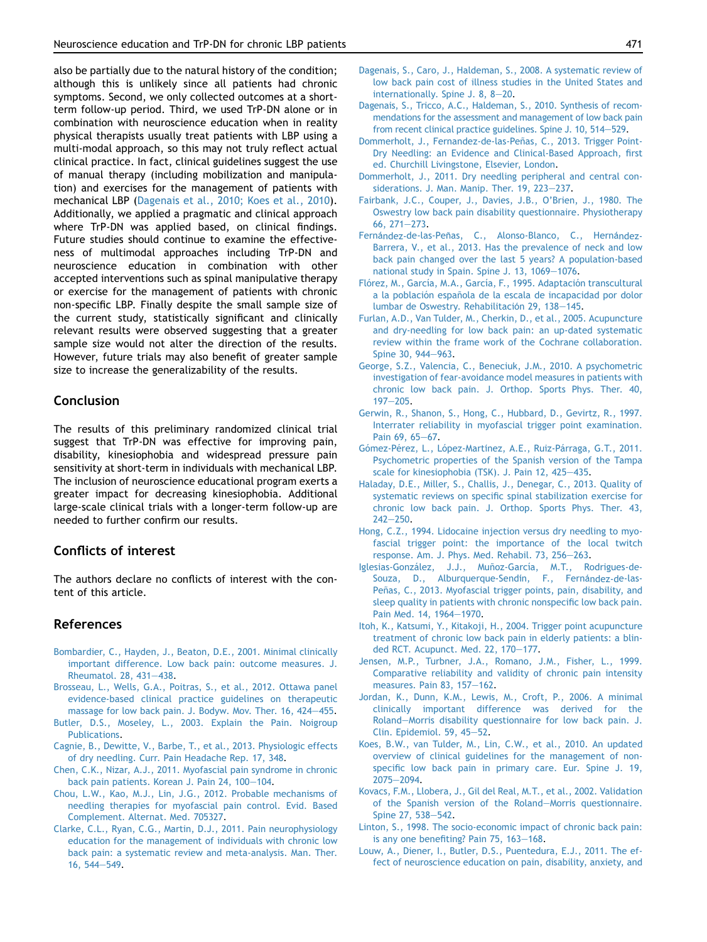<span id="page-7-0"></span>also be partially due to the natural history of the condition; although this is unlikely since all patients had chronic symptoms. Second, we only collected outcomes at a shortterm follow-up period. Third, we used TrP-DN alone or in combination with neuroscience education when in reality physical therapists usually treat patients with LBP using a multi-modal approach, so this may not truly reflect actual clinical practice. In fact, clinical guidelines suggest the use of manual therapy (including mobilization and manipulation) and exercises for the management of patients with mechanical LBP (Dagenais et al., 2010; Koes et al., 2010). Additionally, we applied a pragmatic and clinical approach where TrP-DN was applied based, on clinical findings. Future studies should continue to examine the effectiveness of multimodal approaches including TrP-DN and neuroscience education in combination with other accepted interventions such as spinal manipulative therapy or exercise for the management of patients with chronic non-specific LBP. Finally despite the small sample size of the current study, statistically significant and clinically relevant results were observed suggesting that a greater sample size would not alter the direction of the results. However, future trials may also benefit of greater sample size to increase the generalizability of the results.

## Conclusion

The results of this preliminary randomized clinical trial suggest that TrP-DN was effective for improving pain, disability, kinesiophobia and widespread pressure pain sensitivity at short-term in individuals with mechanical LBP. The inclusion of neuroscience educational program exerts a greater impact for decreasing kinesiophobia. Additional large-scale clinical trials with a longer-term follow-up are needed to further confirm our results.

# Conflicts of interest

The authors declare no conflicts of interest with the content of this article.

## References

- [Bombardier, C., Hayden, J., Beaton, D.E., 2001. Minimal clinically](http://refhub.elsevier.com/S1360-8592(14)00198-3/sref1) [important difference. Low back pain: outcome measures. J.](http://refhub.elsevier.com/S1360-8592(14)00198-3/sref1) [Rheumatol. 28, 431](http://refhub.elsevier.com/S1360-8592(14)00198-3/sref1)-[438.](http://refhub.elsevier.com/S1360-8592(14)00198-3/sref1)
- [Brosseau, L., Wells, G.A., Poitras, S., et al., 2012. Ottawa panel](http://refhub.elsevier.com/S1360-8592(14)00198-3/sref2) [evidence-based clinical practice guidelines on therapeutic](http://refhub.elsevier.com/S1360-8592(14)00198-3/sref2) [massage for low back pain. J. Bodyw. Mov. Ther. 16, 424](http://refhub.elsevier.com/S1360-8592(14)00198-3/sref2)-[455](http://refhub.elsevier.com/S1360-8592(14)00198-3/sref2).
- [Butler, D.S., Moseley, L., 2003. Explain the Pain. Noigroup](http://refhub.elsevier.com/S1360-8592(14)00198-3/sref3) [Publications.](http://refhub.elsevier.com/S1360-8592(14)00198-3/sref3)
- [Cagnie, B., Dewitte, V., Barbe, T., et al., 2013. Physiologic effects](http://refhub.elsevier.com/S1360-8592(14)00198-3/sref4) [of dry needling. Curr. Pain Headache Rep. 17, 348.](http://refhub.elsevier.com/S1360-8592(14)00198-3/sref4)
- [Chen, C.K., Nizar, A.J., 2011. Myofascial pain syndrome in chronic](http://refhub.elsevier.com/S1360-8592(14)00198-3/sref5) [back pain patients. Korean J. Pain 24, 100](http://refhub.elsevier.com/S1360-8592(14)00198-3/sref5)-[104.](http://refhub.elsevier.com/S1360-8592(14)00198-3/sref5)
- [Chou, L.W., Kao, M.J., Lin, J.G., 2012. Probable mechanisms of](http://refhub.elsevier.com/S1360-8592(14)00198-3/sref6) [needling therapies for myofascial pain control. Evid. Based](http://refhub.elsevier.com/S1360-8592(14)00198-3/sref6) [Complement. Alternat. Med. 705327](http://refhub.elsevier.com/S1360-8592(14)00198-3/sref6).
- [Clarke, C.L., Ryan, C.G., Martin, D.J., 2011. Pain neurophysiology](http://refhub.elsevier.com/S1360-8592(14)00198-3/sref7) [education for the management of individuals with chronic low](http://refhub.elsevier.com/S1360-8592(14)00198-3/sref7) [back pain: a systematic review and meta-analysis. Man. Ther.](http://refhub.elsevier.com/S1360-8592(14)00198-3/sref7) [16, 544](http://refhub.elsevier.com/S1360-8592(14)00198-3/sref7)-[549.](http://refhub.elsevier.com/S1360-8592(14)00198-3/sref7)
- [Dagenais, S., Caro, J., Haldeman, S., 2008. A systematic review of](http://refhub.elsevier.com/S1360-8592(14)00198-3/sref8) [low back pain cost of illness studies in the United States and](http://refhub.elsevier.com/S1360-8592(14)00198-3/sref8) internationally. Spine J.  $8, 8-20$ .
- [Dagenais, S., Tricco, A.C., Haldeman, S., 2010. Synthesis of recom](http://refhub.elsevier.com/S1360-8592(14)00198-3/sref9)[mendations for the assessment and management of low back pain](http://refhub.elsevier.com/S1360-8592(14)00198-3/sref9) [from recent clinical practice guidelines. Spine J. 10, 514](http://refhub.elsevier.com/S1360-8592(14)00198-3/sref9)-[529](http://refhub.elsevier.com/S1360-8592(14)00198-3/sref9).
- Dommerholt, J., Fernandez-de-las-Peñas, C., 2013. Trigger Point-[Dry Needling: an Evidence and Clinical-Based Approach, first](http://refhub.elsevier.com/S1360-8592(14)00198-3/sref10) [ed. Churchill Livingstone, Elsevier, London.](http://refhub.elsevier.com/S1360-8592(14)00198-3/sref10)
- [Dommerholt, J., 2011. Dry needling peripheral and central con](http://refhub.elsevier.com/S1360-8592(14)00198-3/sref11)[siderations. J. Man. Manip. Ther. 19, 223](http://refhub.elsevier.com/S1360-8592(14)00198-3/sref11)-[237.](http://refhub.elsevier.com/S1360-8592(14)00198-3/sref11)
- [Fairbank, J.C., Couper, J., Davies, J.B., O'Brien, J., 1980. The](http://refhub.elsevier.com/S1360-8592(14)00198-3/sref12) [Oswestry low back pain disability questionnaire. Physiotherapy](http://refhub.elsevier.com/S1360-8592(14)00198-3/sref12) 66,  $271 - 273$ .
- Fernández-de-las-Peñas, C., Alonso-Blanco, C., Hernández-[Barrera, V., et al., 2013. Has the prevalence of neck and low](http://refhub.elsevier.com/S1360-8592(14)00198-3/sref13) [back pain changed over the last 5 years? A population-based](http://refhub.elsevier.com/S1360-8592(14)00198-3/sref13) [national study in Spain. Spine J. 13, 1069](http://refhub.elsevier.com/S1360-8592(14)00198-3/sref13)-[1076](http://refhub.elsevier.com/S1360-8592(14)00198-3/sref13).
- Flórez, M., García, M.A., García, F., 1995. Adaptación transcultural a la población española de la escala de incapacidad por dolor lumbar de Oswestry. Rehabilitación 29, 138-[145](http://refhub.elsevier.com/S1360-8592(14)00198-3/sref14).
- [Furlan, A.D., Van Tulder, M., Cherkin, D., et al., 2005. Acupuncture](http://refhub.elsevier.com/S1360-8592(14)00198-3/sref15) [and dry-needling for low back pain: an up-dated systematic](http://refhub.elsevier.com/S1360-8592(14)00198-3/sref15) [review within the frame work of the Cochrane collaboration.](http://refhub.elsevier.com/S1360-8592(14)00198-3/sref15) [Spine 30, 944](http://refhub.elsevier.com/S1360-8592(14)00198-3/sref15)-[963.](http://refhub.elsevier.com/S1360-8592(14)00198-3/sref15)
- [George, S.Z., Valencia, C., Beneciuk, J.M., 2010. A psychometric](http://refhub.elsevier.com/S1360-8592(14)00198-3/sref16) [investigation of fear-avoidance model measures in patients with](http://refhub.elsevier.com/S1360-8592(14)00198-3/sref16) [chronic low back pain. J. Orthop. Sports Phys. Ther. 40,](http://refhub.elsevier.com/S1360-8592(14)00198-3/sref16)  $197 - 205.$  $197 - 205.$  $197 - 205.$  $197 - 205.$
- [Gerwin, R., Shanon, S., Hong, C., Hubbard, D., Gevirtz, R., 1997.](http://refhub.elsevier.com/S1360-8592(14)00198-3/sref17) [Interrater reliability in myofascial trigger point examination.](http://refhub.elsevier.com/S1360-8592(14)00198-3/sref17) [Pain 69, 65](http://refhub.elsevier.com/S1360-8592(14)00198-3/sref17)-[67.](http://refhub.elsevier.com/S1360-8592(14)00198-3/sref17)
- Gómez-Pérez, L., López-Martínez, A.E., Ruiz-Párraga, G.T., 2011. [Psychometric properties of the Spanish version of the Tampa](http://refhub.elsevier.com/S1360-8592(14)00198-3/sref18) [scale for kinesiophobia \(TSK\). J. Pain 12, 425](http://refhub.elsevier.com/S1360-8592(14)00198-3/sref18)-[435.](http://refhub.elsevier.com/S1360-8592(14)00198-3/sref18)
- [Haladay, D.E., Miller, S., Challis, J., Denegar, C., 2013. Quality of](http://refhub.elsevier.com/S1360-8592(14)00198-3/sref19) [systematic reviews on specific spinal stabilization exercise for](http://refhub.elsevier.com/S1360-8592(14)00198-3/sref19) [chronic low back pain. J. Orthop. Sports Phys. Ther. 43,](http://refhub.elsevier.com/S1360-8592(14)00198-3/sref19)  $742 - 750$ .
- [Hong, C.Z., 1994. Lidocaine injection versus dry needling to myo](http://refhub.elsevier.com/S1360-8592(14)00198-3/sref20)[fascial trigger point: the importance of the local twitch](http://refhub.elsevier.com/S1360-8592(14)00198-3/sref20) [response. Am. J. Phys. Med. Rehabil. 73, 256](http://refhub.elsevier.com/S1360-8592(14)00198-3/sref20)-[263.](http://refhub.elsevier.com/S1360-8592(14)00198-3/sref20)
- Iglesias-González, J.J., Muñoz-García, M.T., Rodrigues-de-Souza, D., Alburquerque-Sendín, F., Fernández-de-las-Peñas, C., 2013. Myofascial trigger points, pain, disability, and [sleep quality in patients with chronic nonspecific low back pain.](http://refhub.elsevier.com/S1360-8592(14)00198-3/sref21) [Pain Med. 14, 1964](http://refhub.elsevier.com/S1360-8592(14)00198-3/sref21)-[1970](http://refhub.elsevier.com/S1360-8592(14)00198-3/sref21).
- [Itoh, K., Katsumi, Y., Kitakoji, H., 2004. Trigger point acupuncture](http://refhub.elsevier.com/S1360-8592(14)00198-3/sref22) [treatment of chronic low back pain in elderly patients: a blin](http://refhub.elsevier.com/S1360-8592(14)00198-3/sref22)[ded RCT. Acupunct. Med. 22, 170](http://refhub.elsevier.com/S1360-8592(14)00198-3/sref22)-[177](http://refhub.elsevier.com/S1360-8592(14)00198-3/sref22).
- [Jensen, M.P., Turbner, J.A., Romano, J.M., Fisher, L., 1999.](http://refhub.elsevier.com/S1360-8592(14)00198-3/sref23) [Comparative reliability and validity of chronic pain intensity](http://refhub.elsevier.com/S1360-8592(14)00198-3/sref23) [measures. Pain 83, 157](http://refhub.elsevier.com/S1360-8592(14)00198-3/sref23)-[162.](http://refhub.elsevier.com/S1360-8592(14)00198-3/sref23)
- [Jordan, K., Dunn, K.M., Lewis, M., Croft, P., 2006. A minimal](http://refhub.elsevier.com/S1360-8592(14)00198-3/sref24) [clinically important difference was derived for the](http://refhub.elsevier.com/S1360-8592(14)00198-3/sref24) [Roland](http://refhub.elsevier.com/S1360-8592(14)00198-3/sref24)-[Morris disability questionnaire for low back pain. J.](http://refhub.elsevier.com/S1360-8592(14)00198-3/sref24) [Clin. Epidemiol. 59, 45](http://refhub.elsevier.com/S1360-8592(14)00198-3/sref24)-[52.](http://refhub.elsevier.com/S1360-8592(14)00198-3/sref24)
- [Koes, B.W., van Tulder, M., Lin, C.W., et al., 2010. An updated](http://refhub.elsevier.com/S1360-8592(14)00198-3/sref25) [overview of clinical guidelines for the management of non](http://refhub.elsevier.com/S1360-8592(14)00198-3/sref25)[specific low back pain in primary care. Eur. Spine J. 19,](http://refhub.elsevier.com/S1360-8592(14)00198-3/sref25) [2075](http://refhub.elsevier.com/S1360-8592(14)00198-3/sref25)-[2094](http://refhub.elsevier.com/S1360-8592(14)00198-3/sref25)
- [Kovacs, F.M., Llobera, J., Gil del Real, M.T., et al., 2002. Validation](http://refhub.elsevier.com/S1360-8592(14)00198-3/sref26) [of the Spanish version of the Roland](http://refhub.elsevier.com/S1360-8592(14)00198-3/sref26)-[Morris questionnaire.](http://refhub.elsevier.com/S1360-8592(14)00198-3/sref26) [Spine 27, 538](http://refhub.elsevier.com/S1360-8592(14)00198-3/sref26)-[542.](http://refhub.elsevier.com/S1360-8592(14)00198-3/sref26)
- [Linton, S., 1998. The socio-economic impact of chronic back pain:](http://refhub.elsevier.com/S1360-8592(14)00198-3/sref27) is any one benefiting? Pain  $75$ ,  $163-168$  $163-168$ .
- [Louw, A., Diener, I., Butler, D.S., Puentedura, E.J., 2011. The ef](http://refhub.elsevier.com/S1360-8592(14)00198-3/sref28)[fect of neuroscience education on pain, disability, anxiety, and](http://refhub.elsevier.com/S1360-8592(14)00198-3/sref28)